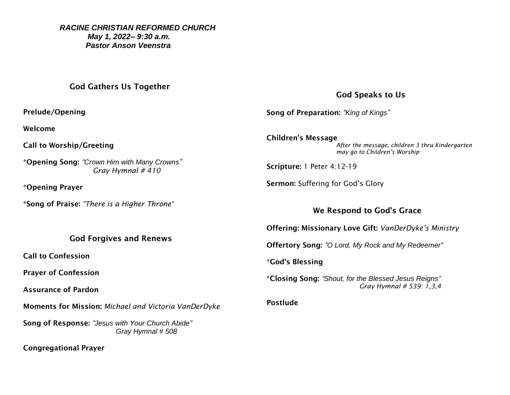#### *RACINE CHRISTIAN REFORMED CHURCH May 1, 2022– 9:30 a.m. Pastor Anson Veenstra*

### God Gathers Us Together

Prelude/Opening

Welcome

Call to Worship/Greeting

\*Opening Song: *"Crown Him with Many Crowns" Gray Hymnal # 410*

\*Opening Prayer

\*Song of Praise: *"There is a Higher Throne"*

God Forgives and Renews

Call to Confession

Prayer of Confession

Assurance of Pardon

Moments for Mission: *Michael and Victoria VanDerDyke*

Song of Response: *"Jesus with Your Church Abide" Gray Hymnal # 508*

Congregational Prayer

## God Speaks to Us

Song of Preparation: *"King of Kings"*

Children's Message *After the message, children 3 thru Kindergarten may go to Children's Worship* 

Scripture: 1 Peter 4:12-19

Sermon: Suffering for God's Glory

## We Respond to God's Grace

Offering: Missionary Love Gift: *VanDerDyke's Ministry*

Offertory Song: *"O Lord, My Rock and My Redeemer"*

\*God's Blessing

\*Closing Song: *"Shout, for the Blessed Jesus Reigns" Gray Hymnal # 539: 1,3,4*

Postlude